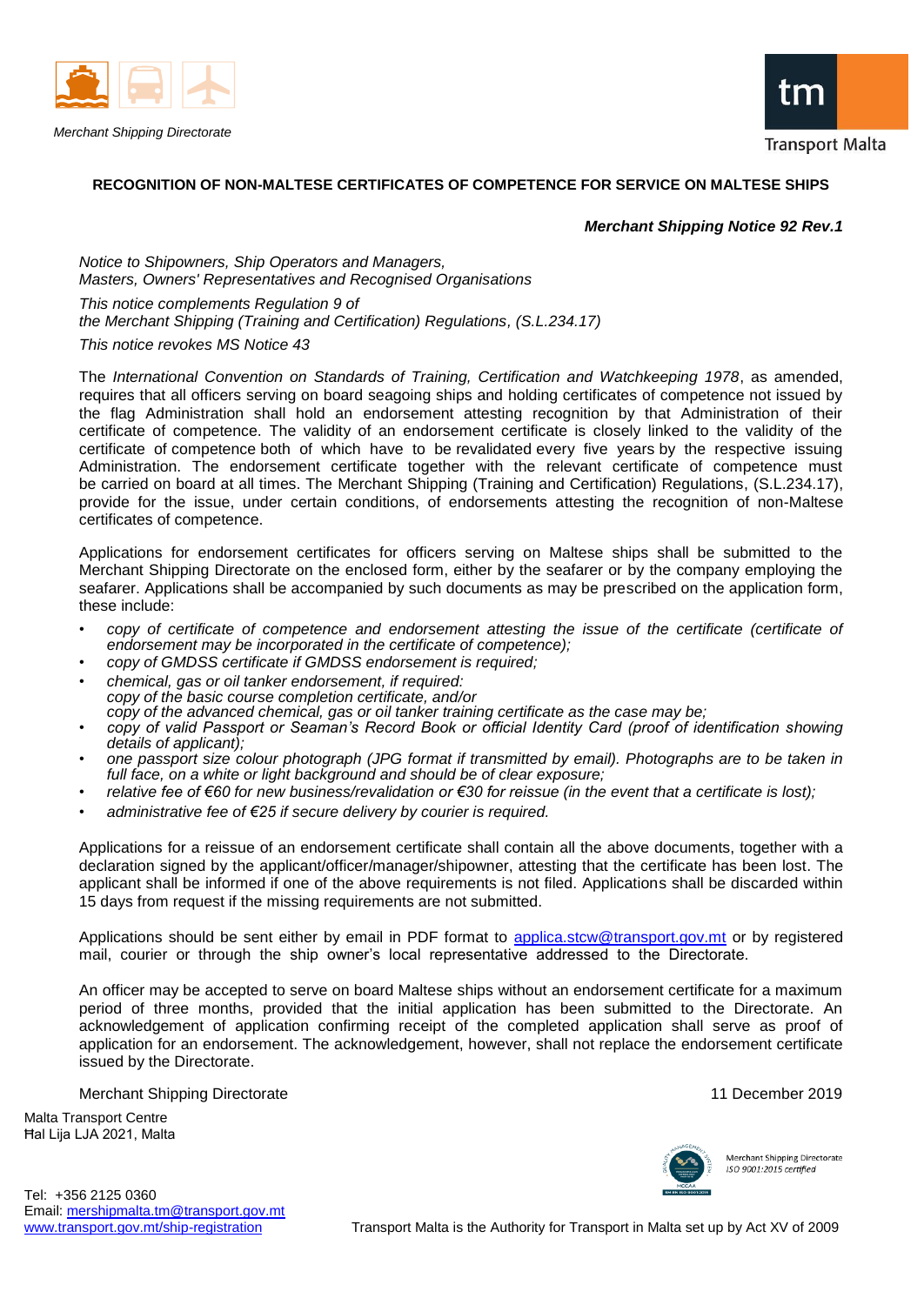

*Merchant Shipping Directorate*



# **RECOGNITION OF NON-MALTESE CERTIFICATES OF COMPETENCE FOR SERVICE ON MALTESE SHIPS**

## *Merchant Shipping Notice 92 Rev.1*

*Notice to Shipowners, Ship Operators and Managers, Masters, Owners' Representatives and Recognised Organisations*

*This notice complements Regulation 9 of the Merchant Shipping (Training and Certification) Regulations, (S.L.234.17)*

## *This notice revokes MS Notice 43*

The *International Convention on Standards of Training, Certification and Watchkeeping 1978*, as amended, requires that all officers serving on board seagoing ships and holding certificates of competence not issued by the flag Administration shall hold an endorsement attesting recognition by that Administration of their certificate of competence. The validity of an endorsement certificate is closely linked to the validity of the certificate of competence both of which have to be revalidated every five years by the respective issuing Administration. The endorsement certificate together with the relevant certificate of competence must be carried on board at all times. The Merchant Shipping (Training and Certification) Regulations, (S.L.234.17), provide for the issue, under certain conditions, of endorsements attesting the recognition of non-Maltese certificates of competence.

Applications for endorsement certificates for officers serving on Maltese ships shall be submitted to the Merchant Shipping Directorate on the enclosed form, either by the seafarer or by the company employing the seafarer. Applications shall be accompanied by such documents as may be prescribed on the application form, these include:

- *copy of certificate of competence and endorsement attesting the issue of the certificate (certificate of endorsement may be incorporated in the certificate of competence);*
- *copy of GMDSS certificate if GMDSS endorsement is required;*
- *chemical, gas or oil tanker endorsement, if required: copy of the basic course completion certificate, and/or copy of the advanced chemical, gas or oil tanker training certificate as the case may be;*
- *copy of valid Passport or Seaman's Record Book or official Identity Card (proof of identification showing details of applicant);*
- *one passport size colour photograph (JPG format if transmitted by email). Photographs are to be taken in full face, on a white or light background and should be of clear exposure;*
- *relative fee of €60 for new business/revalidation or €30 for reissue (in the event that a certificate is lost);*
- *administrative fee of €25 if secure delivery by courier is required.*

Applications for a reissue of an endorsement certificate shall contain all the above documents, together with a declaration signed by the applicant/officer/manager/shipowner, attesting that the certificate has been lost. The applicant shall be informed if one of the above requirements is not filed. Applications shall be discarded within 15 days from request if the missing requirements are not submitted.

Applications should be sent either by email in PDF format to [applica.stcw@transport.gov.mt](mailto:applica.stcw@transport.gov.mt) or by registered mail, courier or through the ship owner's local representative addressed to the Directorate.

An officer may be accepted to serve on board Maltese ships without an endorsement certificate for a maximum period of three months, provided that the initial application has been submitted to the Directorate. An acknowledgement of application confirming receipt of the completed application shall serve as proof of application for an endorsement. The acknowledgement, however, shall not replace the endorsement certificate issued by the Directorate.

Merchant Shipping Directorate 11 December 2019

Malta Transport Centre Ħal Lija LJA 2021, Malta



Merchant Shipping Directorate ISO 9001:2015 certified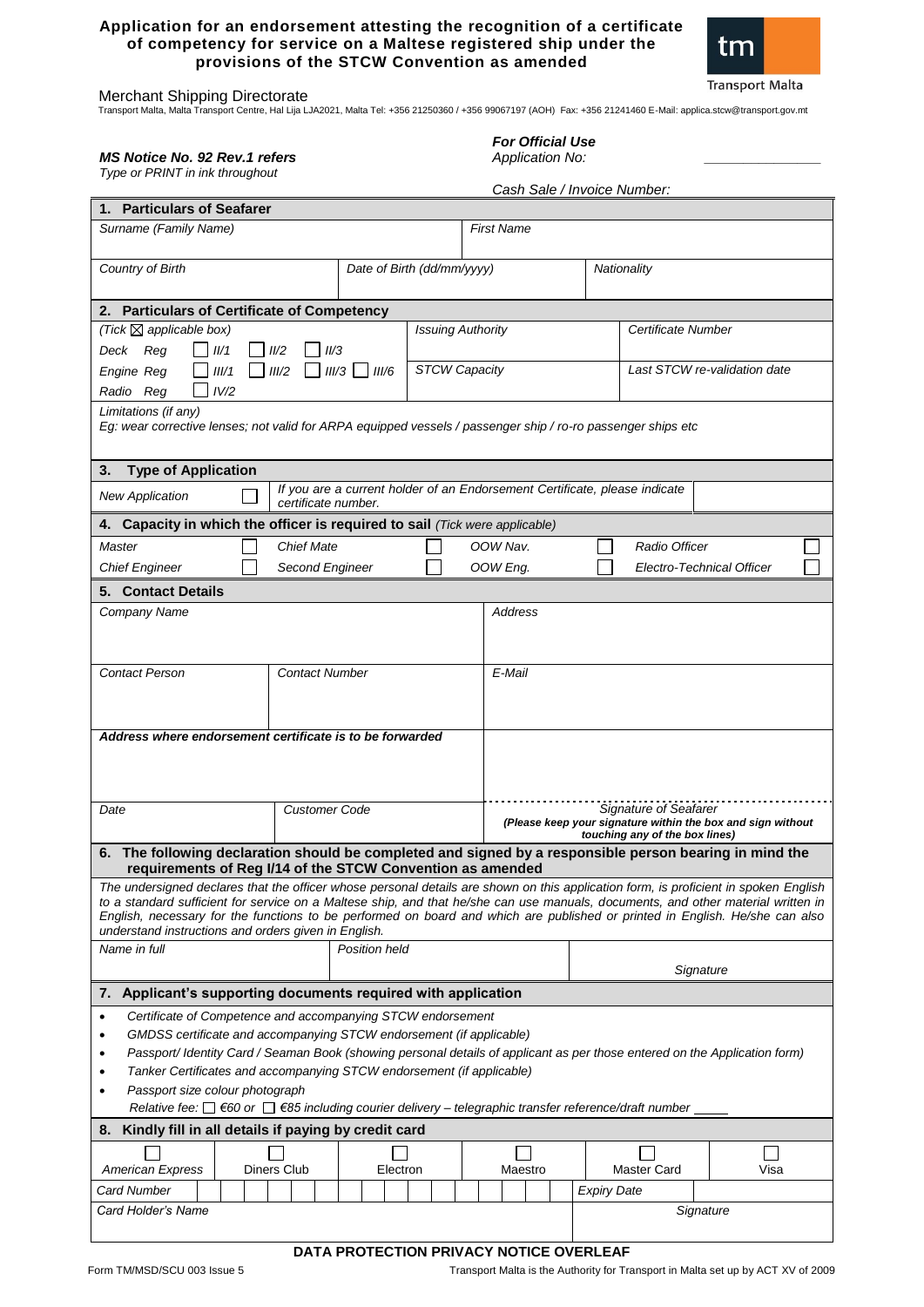# **Application for an endorsement attesting the recognition of a certificate of competency for service on a Maltese registered ship under the provisions of the STCW Convention as amended**



Merchant Shipping Directorate Transport Malta, Malta Transport Centre, Hal Lija LJA2021, Malta Tel: +356 21250360 / +356 99067197 (AOH) Fax: +356 21241460 E-Mail: applica.stcw@transport.gov.mt

| <b>For Official Use</b>                                                                                                                                                                            |                             |                           |                          |                                           |                                                                                               |           |                              |      |  |
|----------------------------------------------------------------------------------------------------------------------------------------------------------------------------------------------------|-----------------------------|---------------------------|--------------------------|-------------------------------------------|-----------------------------------------------------------------------------------------------|-----------|------------------------------|------|--|
| <b>MS Notice No. 92 Rev.1 refers</b><br>Type or PRINT in ink throughout                                                                                                                            | <b>Application No:</b>      |                           |                          |                                           |                                                                                               |           |                              |      |  |
|                                                                                                                                                                                                    | Cash Sale / Invoice Number: |                           |                          |                                           |                                                                                               |           |                              |      |  |
| 1. Particulars of Seafarer                                                                                                                                                                         |                             |                           |                          |                                           |                                                                                               |           |                              |      |  |
| Surname (Family Name)                                                                                                                                                                              | <b>First Name</b>           |                           |                          |                                           |                                                                                               |           |                              |      |  |
| Country of Birth                                                                                                                                                                                   |                             |                           |                          | Date of Birth (dd/mm/yyyy)<br>Nationality |                                                                                               |           |                              |      |  |
|                                                                                                                                                                                                    |                             |                           |                          |                                           |                                                                                               |           |                              |      |  |
| 2. Particulars of Certificate of Competency                                                                                                                                                        |                             |                           |                          |                                           |                                                                                               |           |                              |      |  |
| (Tick $\boxtimes$ applicable box)<br>II/2<br>Reg<br>II/1<br>II/3<br>Deck                                                                                                                           |                             |                           | <b>Issuing Authority</b> |                                           |                                                                                               |           | Certificate Number           |      |  |
| III/2<br>$III/3$ $III/6$<br>III/1<br><b>Engine Reg</b>                                                                                                                                             |                             |                           | <b>STCW Capacity</b>     |                                           |                                                                                               |           | Last STCW re-validation date |      |  |
| IV/2<br>Radio Reg                                                                                                                                                                                  |                             |                           |                          |                                           |                                                                                               |           |                              |      |  |
| Limitations (if any)                                                                                                                                                                               |                             |                           |                          |                                           |                                                                                               |           |                              |      |  |
| Eq: wear corrective lenses; not valid for ARPA equipped vessels / passenger ship / ro-ro passenger ships etc                                                                                       |                             |                           |                          |                                           |                                                                                               |           |                              |      |  |
| 3.<br><b>Type of Application</b>                                                                                                                                                                   |                             |                           |                          |                                           |                                                                                               |           |                              |      |  |
| If you are a current holder of an Endorsement Certificate, please indicate                                                                                                                         |                             |                           |                          |                                           |                                                                                               |           |                              |      |  |
| <b>New Application</b><br>certificate number.                                                                                                                                                      |                             |                           |                          |                                           |                                                                                               |           |                              |      |  |
| 4. Capacity in which the officer is required to sail (Tick were applicable)<br><b>Chief Mate</b>                                                                                                   |                             |                           |                          |                                           |                                                                                               |           |                              |      |  |
| Master                                                                                                                                                                                             |                             | OOW Nav.<br>Radio Officer |                          |                                           |                                                                                               |           |                              |      |  |
| Second Engineer<br>OOW Eng.<br>Electro-Technical Officer<br><b>Chief Engineer</b>                                                                                                                  |                             |                           |                          |                                           |                                                                                               |           |                              |      |  |
| 5. Contact Details                                                                                                                                                                                 |                             |                           |                          |                                           |                                                                                               |           |                              |      |  |
| Company Name                                                                                                                                                                                       |                             |                           |                          |                                           | Address                                                                                       |           |                              |      |  |
|                                                                                                                                                                                                    |                             |                           |                          |                                           |                                                                                               |           |                              |      |  |
| <b>Contact Person</b><br><b>Contact Number</b>                                                                                                                                                     |                             |                           |                          |                                           | E-Mail                                                                                        |           |                              |      |  |
|                                                                                                                                                                                                    |                             |                           |                          |                                           |                                                                                               |           |                              |      |  |
|                                                                                                                                                                                                    |                             |                           |                          |                                           |                                                                                               |           |                              |      |  |
| Address where endorsement certificate is to be forwarded                                                                                                                                           |                             |                           |                          |                                           |                                                                                               |           |                              |      |  |
|                                                                                                                                                                                                    |                             |                           |                          |                                           |                                                                                               |           |                              |      |  |
|                                                                                                                                                                                                    |                             |                           |                          |                                           |                                                                                               |           |                              |      |  |
| Date<br><b>Customer Code</b>                                                                                                                                                                       |                             |                           |                          |                                           | Signature of Seafarer                                                                         |           |                              |      |  |
|                                                                                                                                                                                                    |                             |                           |                          |                                           | (Please keep your signature within the box and sign without<br>touching any of the box lines) |           |                              |      |  |
| 6. The following declaration should be completed and signed by a responsible person bearing in mind the                                                                                            |                             |                           |                          |                                           |                                                                                               |           |                              |      |  |
| requirements of Reg I/14 of the STCW Convention as amended<br>The undersigned declares that the officer whose personal details are shown on this application form, is proficient in spoken English |                             |                           |                          |                                           |                                                                                               |           |                              |      |  |
| to a standard sufficient for service on a Maltese ship, and that he/she can use manuals, documents, and other material written in                                                                  |                             |                           |                          |                                           |                                                                                               |           |                              |      |  |
| English, necessary for the functions to be performed on board and which are published or printed in English. He/she can also<br>understand instructions and orders given in English.               |                             |                           |                          |                                           |                                                                                               |           |                              |      |  |
| Name in full                                                                                                                                                                                       | <b>Position held</b>        |                           |                          |                                           |                                                                                               |           |                              |      |  |
|                                                                                                                                                                                                    |                             |                           |                          |                                           |                                                                                               | Signature |                              |      |  |
| Applicant's supporting documents required with application<br>7.                                                                                                                                   |                             |                           |                          |                                           |                                                                                               |           |                              |      |  |
| Certificate of Competence and accompanying STCW endorsement<br>$\bullet$                                                                                                                           |                             |                           |                          |                                           |                                                                                               |           |                              |      |  |
| GMDSS certificate and accompanying STCW endorsement (if applicable)<br>$\bullet$                                                                                                                   |                             |                           |                          |                                           |                                                                                               |           |                              |      |  |
| Passport/ Identity Card / Seaman Book (showing personal details of applicant as per those entered on the Application form)<br>$\bullet$                                                            |                             |                           |                          |                                           |                                                                                               |           |                              |      |  |
| Tanker Certificates and accompanying STCW endorsement (if applicable)<br>$\bullet$<br>Passport size colour photograph<br>$\bullet$                                                                 |                             |                           |                          |                                           |                                                                                               |           |                              |      |  |
| Relative fee: $\Box$ €60 or $\Box$ €85 including courier delivery – telegraphic transfer reference/draft number                                                                                    |                             |                           |                          |                                           |                                                                                               |           |                              |      |  |
| 8. Kindly fill in all details if paying by credit card                                                                                                                                             |                             |                           |                          |                                           |                                                                                               |           |                              |      |  |
|                                                                                                                                                                                                    |                             |                           |                          |                                           |                                                                                               |           |                              |      |  |
| <b>American Express</b>                                                                                                                                                                            | Diners Club                 | Electron                  |                          |                                           | Maestro                                                                                       |           | Master Card                  | Visa |  |
| <b>Card Number</b>                                                                                                                                                                                 |                             |                           |                          |                                           |                                                                                               |           | <b>Expiry Date</b>           |      |  |
| Card Holder's Name                                                                                                                                                                                 |                             |                           |                          |                                           |                                                                                               |           | Signature                    |      |  |
|                                                                                                                                                                                                    |                             |                           |                          |                                           |                                                                                               |           |                              |      |  |

**DATA PROTECTION PRIVACY NOTICE OVERLEAF**